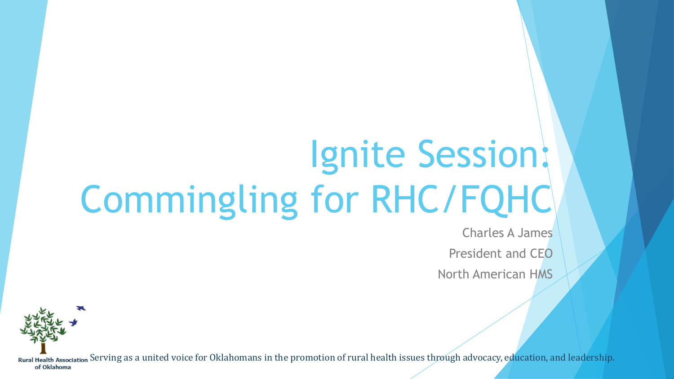# Ignite Session: Commingling for RHC/FQHC

Charles A James President and CEO North American HMS

Rural Health Association Serving as a united voice for Oklahomans in the promotion of rural health issues through advocacy, education, and leadership. of Oklahoma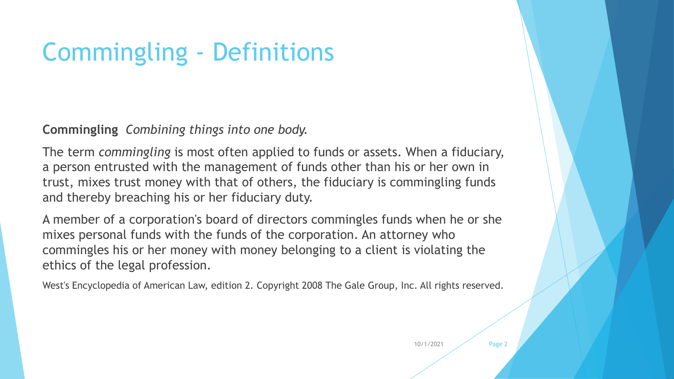# Commingling - Definitions

**Commingling** *Combining things into one body.*

The term *commingling* is most often applied to funds or assets. When a fiduciary, a person entrusted with the management of funds other than his or her own in trust, mixes trust money with that of others, the fiduciary is commingling funds and thereby breaching his or her fiduciary duty.

A member of a corporation's board of directors commingles funds when he or she mixes personal funds with the funds of the corporation. An attorney who commingles his or her money with money belonging to a client is violating the ethics of the legal profession.

West's Encyclopedia of American Law, edition 2. Copyright 2008 The Gale Group, Inc. All rights reserved.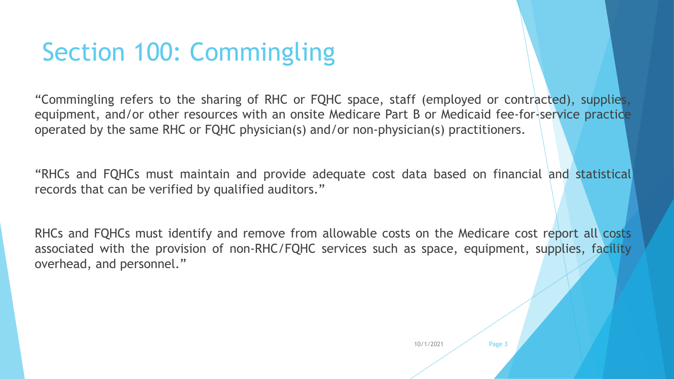# Section 100: Commingling

"Commingling refers to the sharing of RHC or FQHC space, staff (employed or contracted), supplies, equipment, and/or other resources with an onsite Medicare Part B or Medicaid fee-for-service practice operated by the same RHC or FQHC physician(s) and/or non-physician(s) practitioners.

"RHCs and FQHCs must maintain and provide adequate cost data based on financial and statistical records that can be verified by qualified auditors."

RHCs and FQHCs must identify and remove from allowable costs on the Medicare cost report all costs associated with the provision of non-RHC/FQHC services such as space, equipment, supplies, facility overhead, and personnel."

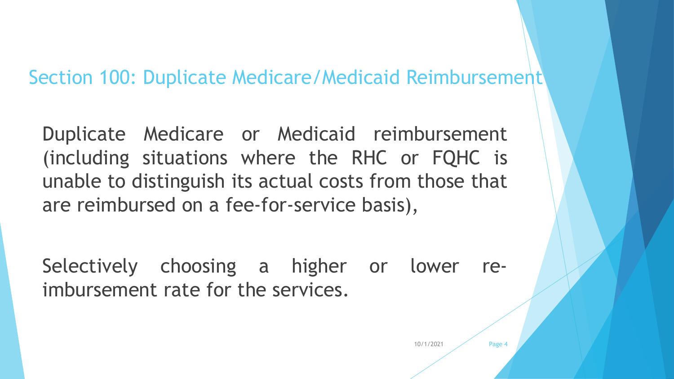### Section 100: Duplicate Medicare/Medicaid Reimbursement

Duplicate Medicare or Medicaid reimbursement (including situations where the RHC or FQHC is unable to distinguish its actual costs from those that are reimbursed on a fee-for-service basis),

Selectively choosing a higher or lower reimbursement rate for the services.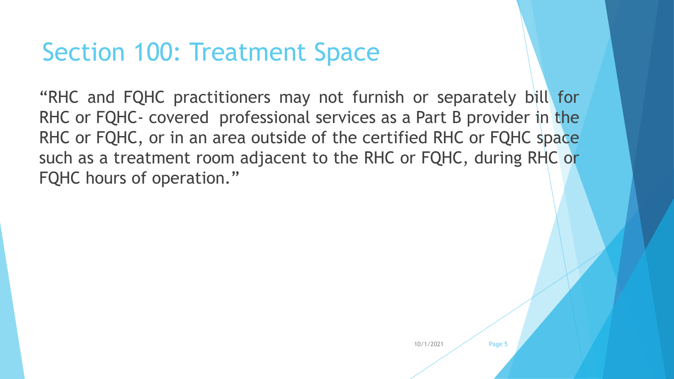## Section 100: Treatment Space

"RHC and FQHC practitioners may not furnish or separately bill for RHC or FQHC- covered professional services as a Part B provider in the RHC or FQHC, or in an area outside of the certified RHC or FQHC space such as a treatment room adjacent to the RHC or FQHC, during RHC or FQHC hours of operation."

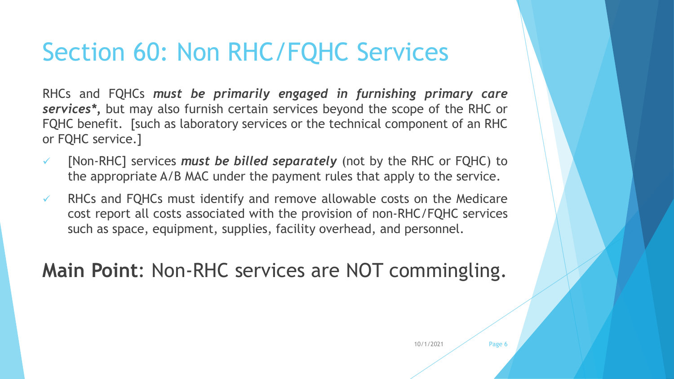# Section 60: Non RHC/FQHC Services

RHCs and FQHCs *must be primarily engaged in furnishing primary care services\*,* but may also furnish certain services beyond the scope of the RHC or FQHC benefit. [such as laboratory services or the technical component of an RHC or FQHC service.]

- [Non-RHC] services *must be billed separately* (not by the RHC or FQHC) to the appropriate A/B MAC under the payment rules that apply to the service.
- $\checkmark$  RHCs and FQHCs must identify and remove allowable costs on the Medicare cost report all costs associated with the provision of non-RHC/FQHC services such as space, equipment, supplies, facility overhead, and personnel.

### **Main Point**: Non-RHC services are NOT commingling.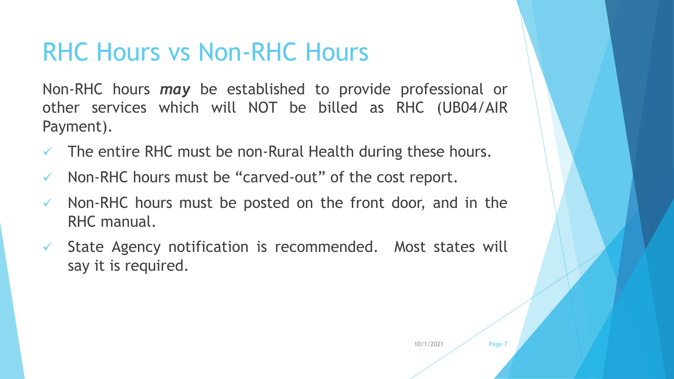# RHC Hours vs Non-RHC Hours

Non-RHC hours *may* be established to provide professional or other services which will NOT be billed as RHC (UB04/AIR Payment).

- The entire RHC must be non-Rural Health during these hours.
- $\checkmark$  Non-RHC hours must be "carved-out" of the cost report.
- $\checkmark$  Non-RHC hours must be posted on the front door, and in the RHC manual.
- $\checkmark$  State Agency notification is recommended. Most states will say it is required.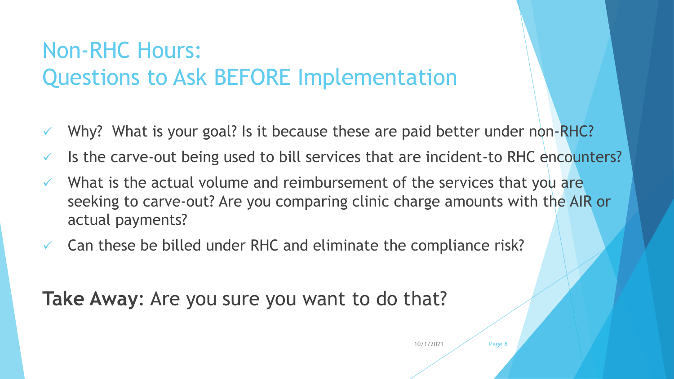### Non-RHC Hours: Questions to Ask BEFORE Implementation

- Why? What is your goal? Is it because these are paid better under non-RHC?
- $\checkmark$  Is the carve-out being used to bill services that are incident-to RHC encounters?
- $\checkmark$  What is the actual volume and reimbursement of the services that you are seeking to carve-out? Are you comparing clinic charge amounts with the AIR or actual payments?
- $\checkmark$  Can these be billed under RHC and eliminate the compliance risk?

**Take Away**: Are you sure you want to do that?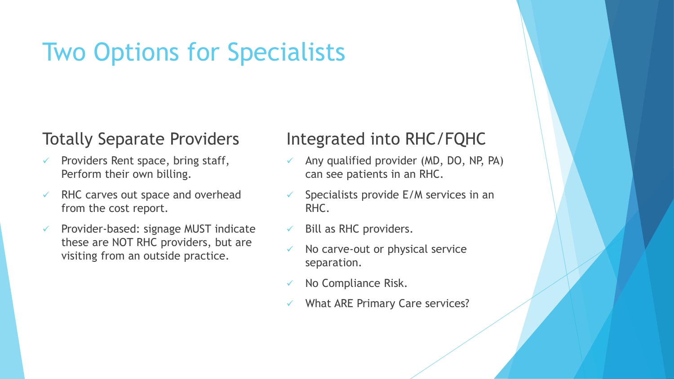# Two Options for Specialists

### Totally Separate Providers

- Providers Rent space, bring staff, Perform their own billing.
- RHC carves out space and overhead from the cost report.
- Provider-based: signage MUST indicate these are NOT RHC providers, but are visiting from an outside practice.

### Integrated into RHC/FQHC

- Any qualified provider (MD, DO, NP, PA) can see patients in an RHC.
- Specialists provide E/M services in an RHC.
- $\checkmark$  Bill as RHC providers.
- No carve-out or physical service separation.
- No Compliance Risk.
- What ARE Primary Care services?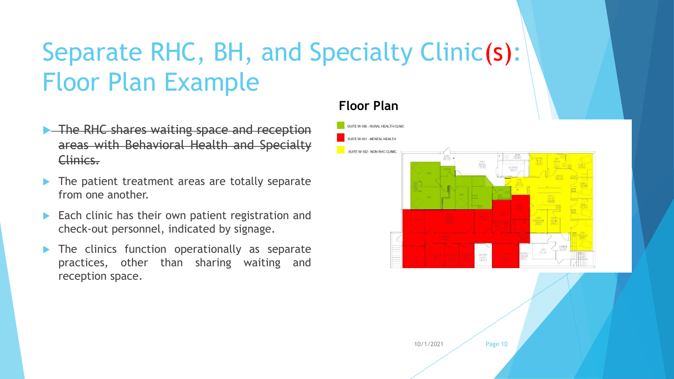# Separate RHC, BH, and Specialty Clinic(s): Floor Plan Example

- **The RHC shares waiting space and reception** areas with Behavioral Health and Specialty Clinics.
- The patient treatment areas are totally separate from one another.
- $\blacktriangleright$  Each clinic has their own patient registration and check-out personnel, indicated by signage.
- The clinics function operationally as separate practices, other than sharing waiting and reception space.

#### **Floor Plan**

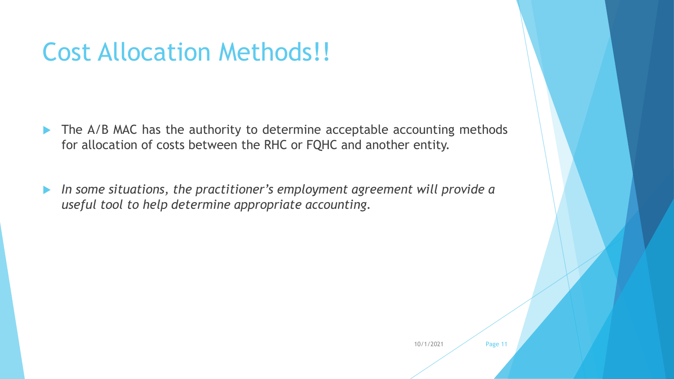# Cost Allocation Methods!!

- The A/B MAC has the authority to determine acceptable accounting methods for allocation of costs between the RHC or FQHC and another entity.
- *In some situations, the practitioner's employment agreement will provide a useful tool to help determine appropriate accounting.*